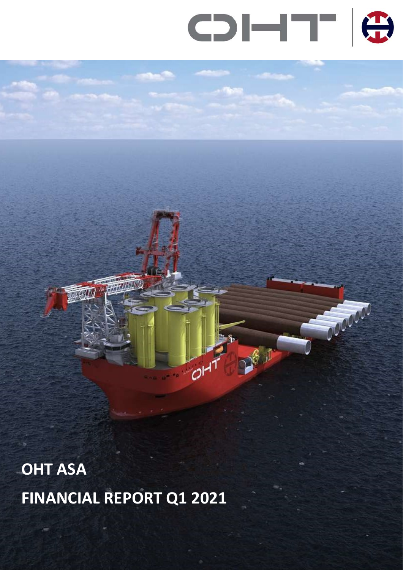

Contract

 $\sqrt{3}$ 

O

OHT ASA FINANCIAL REPORT Q1 2021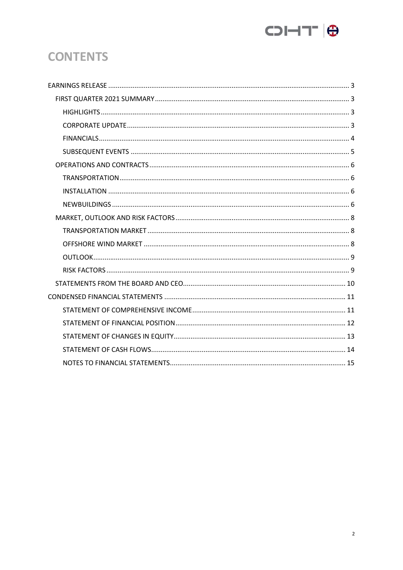

# **CONTENTS**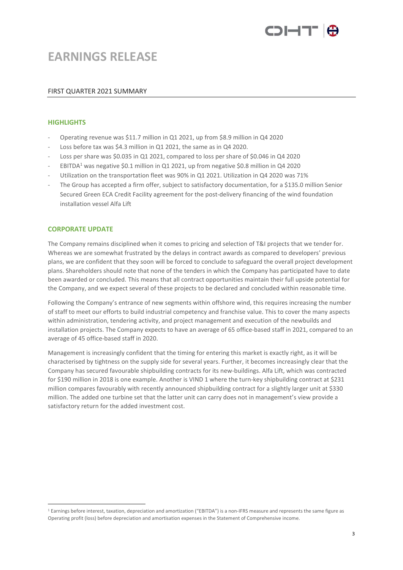

# EARNINGS RELEASE

## FIRST QUARTER 2021 SUMMARY

## **HIGHLIGHTS**

- Operating revenue was \$11.7 million in Q1 2021, up from \$8.9 million in Q4 2020
- Loss before tax was \$4.3 million in Q1 2021, the same as in Q4 2020.
- Loss per share was \$0.035 in Q1 2021, compared to loss per share of \$0.046 in Q4 2020
- EBITDA<sup>1</sup> was negative \$0.1 million in Q1 2021, up from negative \$0.8 million in Q4 2020
- Utilization on the transportation fleet was 90% in Q1 2021. Utilization in Q4 2020 was 71%
- The Group has accepted a firm offer, subject to satisfactory documentation, for a \$135.0 million Senior Secured Green ECA Credit Facility agreement for the post-delivery financing of the wind foundation installation vessel Alfa Lift

## CORPORATE UPDATE

The Company remains disciplined when it comes to pricing and selection of T&I projects that we tender for. Whereas we are somewhat frustrated by the delays in contract awards as compared to developers' previous plans, we are confident that they soon will be forced to conclude to safeguard the overall project development plans. Shareholders should note that none of the tenders in which the Company has participated have to date been awarded or concluded. This means that all contract opportunities maintain their full upside potential for the Company, and we expect several of these projects to be declared and concluded within reasonable time.

Following the Company's entrance of new segments within offshore wind, this requires increasing the number of staff to meet our efforts to build industrial competency and franchise value. This to cover the many aspects within administration, tendering activity, and project management and execution of the newbuilds and installation projects. The Company expects to have an average of 65 office-based staff in 2021, compared to an average of 45 office-based staff in 2020.

Management is increasingly confident that the timing for entering this market is exactly right, as it will be characterised by tightness on the supply side for several years. Further, it becomes increasingly clear that the Company has secured favourable shipbuilding contracts for its new-buildings. Alfa Lift, which was contracted for \$190 million in 2018 is one example. Another is VIND 1 where the turn-key shipbuilding contract at \$231 million compares favourably with recently announced shipbuilding contract for a slightly larger unit at \$330 million. The added one turbine set that the latter unit can carry does not in management's view provide a satisfactory return for the added investment cost.

<sup>1</sup> Earnings before interest, taxation, depreciation and amortization ("EBITDA") is a non-IFRS measure and represents the same figure as Operating profit (loss) before depreciation and amortisation expenses in the Statement of Comprehensive income.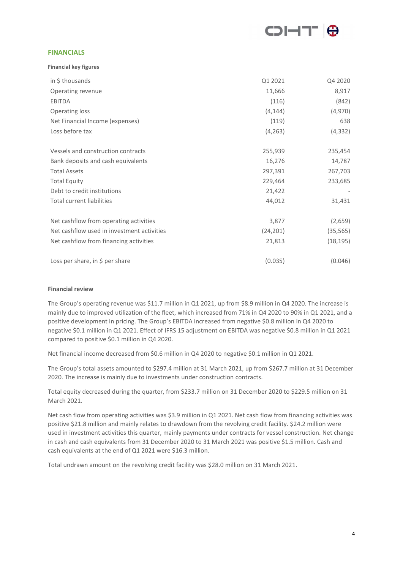

## **FINANCIALS**

Financial key figures

| in \$ thousands                            | Q1 2021   | Q4 2020   |
|--------------------------------------------|-----------|-----------|
| Operating revenue                          | 11,666    | 8,917     |
| <b>EBITDA</b>                              | (116)     | (842)     |
| Operating loss                             | (4, 144)  | (4,970)   |
| Net Financial Income (expenses)            | (119)     | 638       |
| Loss before tax                            | (4, 263)  | (4, 332)  |
| Vessels and construction contracts         | 255,939   | 235,454   |
| Bank deposits and cash equivalents         | 16,276    | 14,787    |
| <b>Total Assets</b>                        | 297,391   | 267,703   |
| <b>Total Equity</b>                        | 229,464   | 233,685   |
| Debt to credit institutions                | 21,422    |           |
| <b>Total current liabilities</b>           | 44,012    | 31,431    |
| Net cashflow from operating activities     | 3,877     | (2,659)   |
| Net cashflow used in investment activities | (24, 201) | (35, 565) |
| Net cashflow from financing activities     | 21,813    | (18, 195) |
| Loss per share, in \$ per share            | (0.035)   | (0.046)   |

## Financial review

The Group's operating revenue was \$11.7 million in Q1 2021, up from \$8.9 million in Q4 2020. The increase is mainly due to improved utilization of the fleet, which increased from 71% in Q4 2020 to 90% in Q1 2021, and a positive development in pricing. The Group's EBITDA increased from negative \$0.8 million in Q4 2020 to negative \$0.1 million in Q1 2021. Effect of IFRS 15 adjustment on EBITDA was negative \$0.8 million in Q1 2021 compared to positive \$0.1 million in Q4 2020.

Net financial income decreased from \$0.6 million in Q4 2020 to negative \$0.1 million in Q1 2021.

The Group's total assets amounted to \$297.4 million at 31 March 2021, up from \$267.7 million at 31 December 2020. The increase is mainly due to investments under construction contracts.

Total equity decreased during the quarter, from \$233.7 million on 31 December 2020 to \$229.5 million on 31 March 2021.

Net cash flow from operating activities was \$3.9 million in Q1 2021. Net cash flow from financing activities was positive \$21.8 million and mainly relates to drawdown from the revolving credit facility. \$24.2 million were used in investment activities this quarter, mainly payments under contracts for vessel construction. Net change in cash and cash equivalents from 31 December 2020 to 31 March 2021 was positive \$1.5 million. Cash and cash equivalents at the end of Q1 2021 were \$16.3 million.

Total undrawn amount on the revolving credit facility was \$28.0 million on 31 March 2021.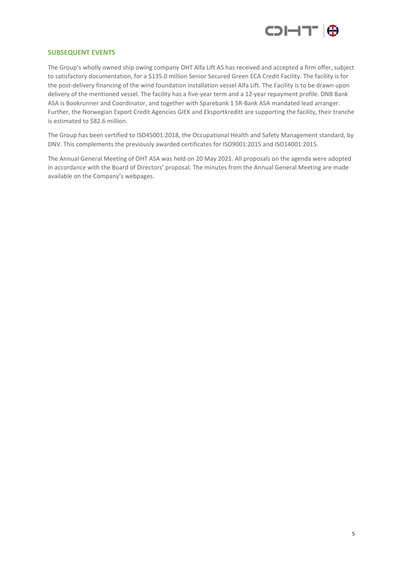

# SUBSEQUENT EVENTS

The Group's wholly owned ship owing company OHT Alfa Lift AS has received and accepted a firm offer, subject to satisfactory documentation, for a \$135.0 million Senior Secured Green ECA Credit Facility. The facility is for the post-delivery financing of the wind foundation installation vessel Alfa Lift. The Facility is to be drawn upon delivery of the mentioned vessel. The facility has a five-year term and a 12-year repayment profile. DNB Bank ASA is Bookrunner and Coordinator, and together with Sparebank 1 SR-Bank ASA mandated lead arranger. Further, the Norwegian Export Credit Agencies GIEK and Eksportkreditt are supporting the facility, their tranche is estimated to \$82.6 million.

The Group has been certified to ISO45001:2018, the Occupational Health and Safety Management standard, by DNV. This complements the previously awarded certificates for ISO9001:2015 and ISO14001:2015.

The Annual General Meeting of OHT ASA was held on 20 May 2021. All proposals on the agenda were adopted in accordance with the Board of Directors' proposal. The minutes from the Annual General Meeting are made available on the Company's webpages.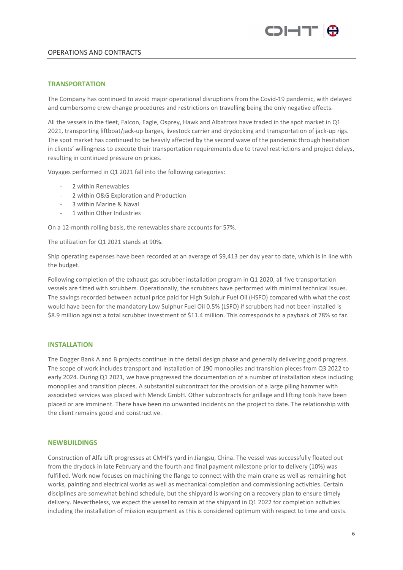

# OPERATIONS AND CONTRACTS

## **TRANSPORTATION**

The Company has continued to avoid major operational disruptions from the Covid-19 pandemic, with delayed and cumbersome crew change procedures and restrictions on travelling being the only negative effects.

All the vessels in the fleet, Falcon, Eagle, Osprey, Hawk and Albatross have traded in the spot market in Q1 2021, transporting liftboat/jack-up barges, livestock carrier and drydocking and transportation of jack-up rigs. The spot market has continued to be heavily affected by the second wave of the pandemic through hesitation in clients' willingness to execute their transportation requirements due to travel restrictions and project delays, resulting in continued pressure on prices.

Voyages performed in Q1 2021 fall into the following categories:

- 2 within Renewables
- 2 within O&G Exploration and Production
- 3 within Marine & Naval
- 1 within Other Industries

On a 12-month rolling basis, the renewables share accounts for 57%.

The utilization for Q1 2021 stands at 90%.

Ship operating expenses have been recorded at an average of \$9,413 per day year to date, which is in line with the budget.

Following completion of the exhaust gas scrubber installation program in Q1 2020, all five transportation vessels are fitted with scrubbers. Operationally, the scrubbers have performed with minimal technical issues. The savings recorded between actual price paid for High Sulphur Fuel Oil (HSFO) compared with what the cost would have been for the mandatory Low Sulphur Fuel Oil 0.5% (LSFO) if scrubbers had not been installed is \$8.9 million against a total scrubber investment of \$11.4 million. This corresponds to a payback of 78% so far.

# INSTALLATION

The Dogger Bank A and B projects continue in the detail design phase and generally delivering good progress. The scope of work includes transport and installation of 190 monopiles and transition pieces from Q3 2022 to early 2024. During Q1 2021, we have progressed the documentation of a number of installation steps including monopiles and transition pieces. A substantial subcontract for the provision of a large piling hammer with associated services was placed with Menck GmbH. Other subcontracts for grillage and lifting tools have been placed or are imminent. There have been no unwanted incidents on the project to date. The relationship with the client remains good and constructive.

### **NEWBUILDINGS**

Construction of Alfa Lift progresses at CMHI's yard in Jiangsu, China. The vessel was successfully floated out from the drydock in late February and the fourth and final payment milestone prior to delivery (10%) was fulfilled. Work now focuses on machining the flange to connect with the main crane as well as remaining hot works, painting and electrical works as well as mechanical completion and commissioning activities. Certain disciplines are somewhat behind schedule, but the shipyard is working on a recovery plan to ensure timely delivery. Nevertheless, we expect the vessel to remain at the shipyard in Q1 2022 for completion activities including the installation of mission equipment as this is considered optimum with respect to time and costs.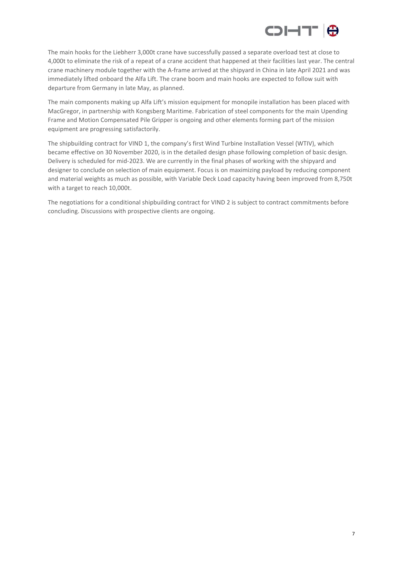

The main hooks for the Liebherr 3,000t crane have successfully passed a separate overload test at close to 4,000t to eliminate the risk of a repeat of a crane accident that happened at their facilities last year. The central crane machinery module together with the A-frame arrived at the shipyard in China in late April 2021 and was immediately lifted onboard the Alfa Lift. The crane boom and main hooks are expected to follow suit with departure from Germany in late May, as planned.

The main components making up Alfa Lift's mission equipment for monopile installation has been placed with MacGregor, in partnership with Kongsberg Maritime. Fabrication of steel components for the main Upending Frame and Motion Compensated Pile Gripper is ongoing and other elements forming part of the mission equipment are progressing satisfactorily.

The shipbuilding contract for VIND 1, the company's first Wind Turbine Installation Vessel (WTIV), which became effective on 30 November 2020, is in the detailed design phase following completion of basic design. Delivery is scheduled for mid-2023. We are currently in the final phases of working with the shipyard and designer to conclude on selection of main equipment. Focus is on maximizing payload by reducing component and material weights as much as possible, with Variable Deck Load capacity having been improved from 8,750t with a target to reach 10,000t.

The negotiations for a conditional shipbuilding contract for VIND 2 is subject to contract commitments before concluding. Discussions with prospective clients are ongoing.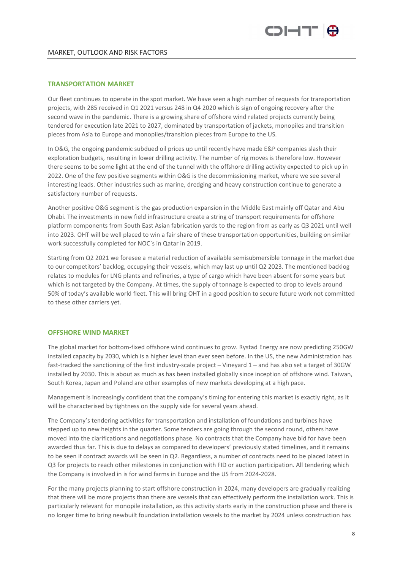

## TRANSPORTATION MARKET

Our fleet continues to operate in the spot market. We have seen a high number of requests for transportation projects, with 285 received in Q1 2021 versus 248 in Q4 2020 which is sign of ongoing recovery after the second wave in the pandemic. There is a growing share of offshore wind related projects currently being tendered for execution late 2021 to 2027, dominated by transportation of jackets, monopiles and transition pieces from Asia to Europe and monopiles/transition pieces from Europe to the US.

In O&G, the ongoing pandemic subdued oil prices up until recently have made E&P companies slash their exploration budgets, resulting in lower drilling activity. The number of rig moves is therefore low. However there seems to be some light at the end of the tunnel with the offshore drilling activity expected to pick up in 2022. One of the few positive segments within O&G is the decommissioning market, where we see several interesting leads. Other industries such as marine, dredging and heavy construction continue to generate a satisfactory number of requests.

Another positive O&G segment is the gas production expansion in the Middle East mainly off Qatar and Abu Dhabi. The investments in new field infrastructure create a string of transport requirements for offshore platform components from South East Asian fabrication yards to the region from as early as Q3 2021 until well into 2023. OHT will be well placed to win a fair share of these transportation opportunities, building on similar work successfully completed for NOC`s in Qatar in 2019.

Starting from Q2 2021 we foresee a material reduction of available semisubmersible tonnage in the market due to our competitors' backlog, occupying their vessels, which may last up until Q2 2023. The mentioned backlog relates to modules for LNG plants and refineries, a type of cargo which have been absent for some years but which is not targeted by the Company. At times, the supply of tonnage is expected to drop to levels around 50% of today's available world fleet. This will bring OHT in a good position to secure future work not committed to these other carriers yet.

## OFFSHORE WIND MARKET

The global market for bottom-fixed offshore wind continues to grow. Rystad Energy are now predicting 250GW installed capacity by 2030, which is a higher level than ever seen before. In the US, the new Administration has fast-tracked the sanctioning of the first industry-scale project – Vineyard 1 – and has also set a target of 30GW installed by 2030. This is about as much as has been installed globally since inception of offshore wind. Taiwan, South Korea, Japan and Poland are other examples of new markets developing at a high pace.

Management is increasingly confident that the company's timing for entering this market is exactly right, as it will be characterised by tightness on the supply side for several years ahead.

The Company's tendering activities for transportation and installation of foundations and turbines have stepped up to new heights in the quarter. Some tenders are going through the second round, others have moved into the clarifications and negotiations phase. No contracts that the Company have bid for have been awarded thus far. This is due to delays as compared to developers' previously stated timelines, and it remains to be seen if contract awards will be seen in Q2. Regardless, a number of contracts need to be placed latest in Q3 for projects to reach other milestones in conjunction with FID or auction participation. All tendering which the Company is involved in is for wind farms in Europe and the US from 2024-2028.

For the many projects planning to start offshore construction in 2024, many developers are gradually realizing that there will be more projects than there are vessels that can effectively perform the installation work. This is particularly relevant for monopile installation, as this activity starts early in the construction phase and there is no longer time to bring newbuilt foundation installation vessels to the market by 2024 unless construction has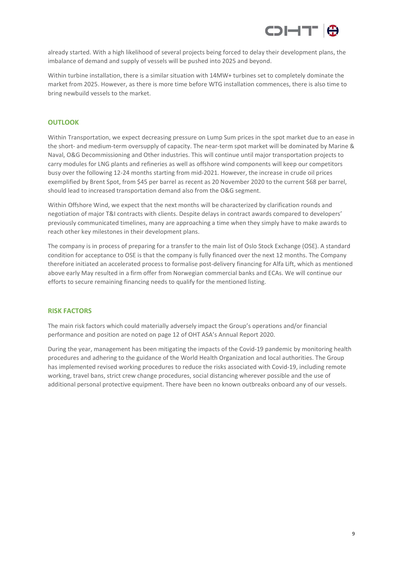

already started. With a high likelihood of several projects being forced to delay their development plans, the imbalance of demand and supply of vessels will be pushed into 2025 and beyond.

Within turbine installation, there is a similar situation with 14MW+ turbines set to completely dominate the market from 2025. However, as there is more time before WTG installation commences, there is also time to bring newbuild vessels to the market.

# OUTLOOK

Within Transportation, we expect decreasing pressure on Lump Sum prices in the spot market due to an ease in the short- and medium-term oversupply of capacity. The near-term spot market will be dominated by Marine & Naval, O&G Decommissioning and Other industries. This will continue until major transportation projects to carry modules for LNG plants and refineries as well as offshore wind components will keep our competitors busy over the following 12-24 months starting from mid-2021. However, the increase in crude oil prices exemplified by Brent Spot, from \$45 per barrel as recent as 20 November 2020 to the current \$68 per barrel, should lead to increased transportation demand also from the O&G segment.

Within Offshore Wind, we expect that the next months will be characterized by clarification rounds and negotiation of major T&I contracts with clients. Despite delays in contract awards compared to developers' previously communicated timelines, many are approaching a time when they simply have to make awards to reach other key milestones in their development plans.

The company is in process of preparing for a transfer to the main list of Oslo Stock Exchange (OSE). A standard condition for acceptance to OSE is that the company is fully financed over the next 12 months. The Company therefore initiated an accelerated process to formalise post-delivery financing for Alfa Lift, which as mentioned above early May resulted in a firm offer from Norwegian commercial banks and ECAs. We will continue our efforts to secure remaining financing needs to qualify for the mentioned listing.

## RISK FACTORS

The main risk factors which could materially adversely impact the Group's operations and/or financial performance and position are noted on page 12 of OHT ASA's Annual Report 2020.

During the year, management has been mitigating the impacts of the Covid-19 pandemic by monitoring health procedures and adhering to the guidance of the World Health Organization and local authorities. The Group has implemented revised working procedures to reduce the risks associated with Covid-19, including remote working, travel bans, strict crew change procedures, social distancing wherever possible and the use of additional personal protective equipment. There have been no known outbreaks onboard any of our vessels.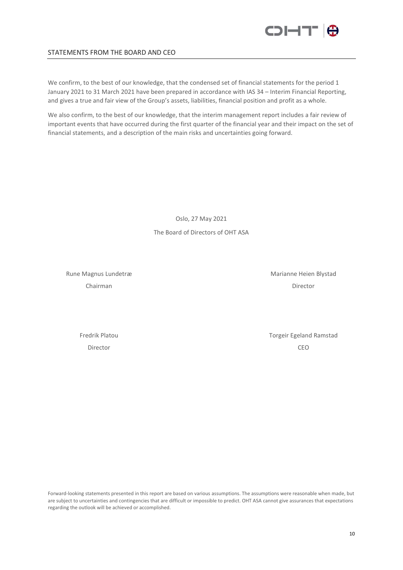

# STATEMENTS FROM THE BOARD AND CEO

We confirm, to the best of our knowledge, that the condensed set of financial statements for the period 1 January 2021 to 31 March 2021 have been prepared in accordance with IAS 34 – Interim Financial Reporting, and gives a true and fair view of the Group's assets, liabilities, financial position and profit as a whole.

We also confirm, to the best of our knowledge, that the interim management report includes a fair review of important events that have occurred during the first quarter of the financial year and their impact on the set of financial statements, and a description of the main risks and uncertainties going forward.

> Oslo, 27 May 2021 The Board of Directors of OHT ASA

Rune Magnus Lundetræ Marianne Heien Blystad

Chairman Director

Fredrik Platou **Torgeir Egeland Ramstad** Torgeir Egeland Ramstad Director CEO

Forward-looking statements presented in this report are based on various assumptions. The assumptions were reasonable when made, but are subject to uncertainties and contingencies that are difficult or impossible to predict. OHT ASA cannot give assurances that expectations regarding the outlook will be achieved or accomplished.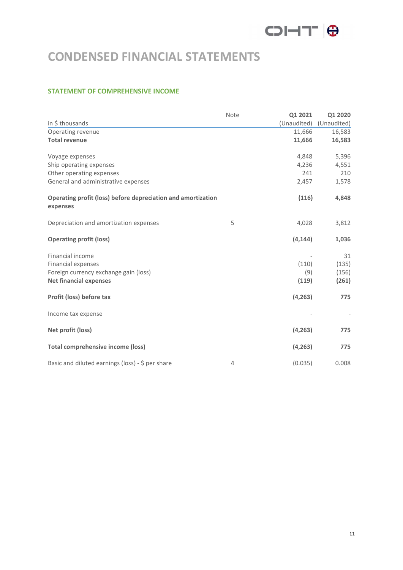# COI-IT IO

# CONDENSED FINANCIAL STATEMENTS

# STATEMENT OF COMPREHENSIVE INCOME

|                                                                                                                         | Note           | Q1 2021               | Q1 2020                       |
|-------------------------------------------------------------------------------------------------------------------------|----------------|-----------------------|-------------------------------|
| in \$ thousands                                                                                                         |                | (Unaudited)           | (Unaudited)                   |
| Operating revenue                                                                                                       |                | 11,666                | 16,583                        |
| <b>Total revenue</b>                                                                                                    |                | 11,666                | 16,583                        |
| Voyage expenses                                                                                                         |                | 4,848                 | 5,396                         |
| Ship operating expenses                                                                                                 |                | 4,236                 | 4,551                         |
| Other operating expenses                                                                                                |                | 241                   | 210                           |
| General and administrative expenses                                                                                     |                | 2,457                 | 1,578                         |
| Operating profit (loss) before depreciation and amortization<br>expenses                                                |                | (116)                 | 4,848                         |
| Depreciation and amortization expenses                                                                                  | 5              | 4,028                 | 3,812                         |
| <b>Operating profit (loss)</b>                                                                                          |                | (4, 144)              | 1,036                         |
| Financial income<br><b>Financial expenses</b><br>Foreign currency exchange gain (loss)<br><b>Net financial expenses</b> |                | (110)<br>(9)<br>(119) | 31<br>(135)<br>(156)<br>(261) |
| Profit (loss) before tax                                                                                                |                | (4, 263)              | 775                           |
| Income tax expense                                                                                                      |                |                       |                               |
| Net profit (loss)                                                                                                       |                | (4, 263)              | 775                           |
| <b>Total comprehensive income (loss)</b>                                                                                |                | (4, 263)              | 775                           |
| Basic and diluted earnings (loss) - \$ per share                                                                        | $\overline{4}$ | (0.035)               | 0.008                         |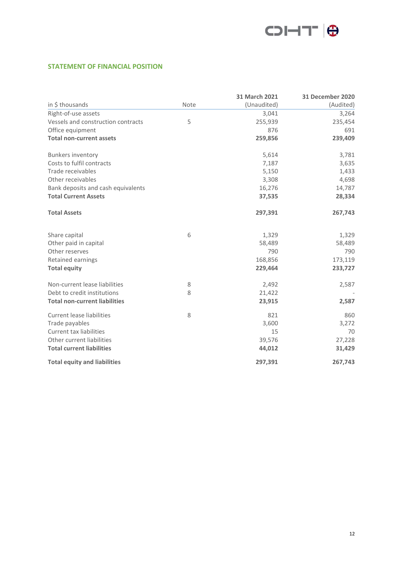

# STATEMENT OF FINANCIAL POSITION

|                                      |      | 31 March 2021 | <b>31 December 2020</b> |
|--------------------------------------|------|---------------|-------------------------|
| in \$ thousands                      | Note | (Unaudited)   | (Audited)               |
| Right-of-use assets                  |      | 3,041         | 3,264                   |
| Vessels and construction contracts   | 5    | 255,939       | 235,454                 |
| Office equipment                     |      | 876           | 691                     |
| <b>Total non-current assets</b>      |      | 259,856       | 239,409                 |
| <b>Bunkers inventory</b>             |      | 5,614         | 3,781                   |
| Costs to fulfil contracts            |      | 7,187         | 3,635                   |
| Trade receivables                    |      | 5,150         | 1,433                   |
| Other receivables                    |      | 3,308         | 4,698                   |
| Bank deposits and cash equivalents   |      | 16,276        | 14,787                  |
| <b>Total Current Assets</b>          |      | 37,535        | 28,334                  |
| <b>Total Assets</b>                  |      | 297,391       | 267,743                 |
| Share capital                        | 6    | 1,329         | 1,329                   |
| Other paid in capital                |      | 58,489        | 58,489                  |
| Other reserves                       |      | 790           | 790                     |
| Retained earnings                    |      | 168,856       | 173,119                 |
| <b>Total equity</b>                  |      | 229,464       | 233,727                 |
| Non-current lease liabilities        | 8    | 2,492         | 2,587                   |
| Debt to credit institutions          | 8    | 21,422        |                         |
| <b>Total non-current liabilities</b> |      | 23,915        | 2,587                   |
| <b>Current lease liabilities</b>     | 8    | 821           | 860                     |
| Trade payables                       |      | 3,600         | 3,272                   |
| <b>Current tax liabilities</b>       |      | 15            | 70                      |
| Other current liabilities            |      | 39,576        | 27,228                  |
| <b>Total current liabilities</b>     |      | 44,012        | 31,429                  |
| <b>Total equity and liabilities</b>  |      | 297,391       | 267,743                 |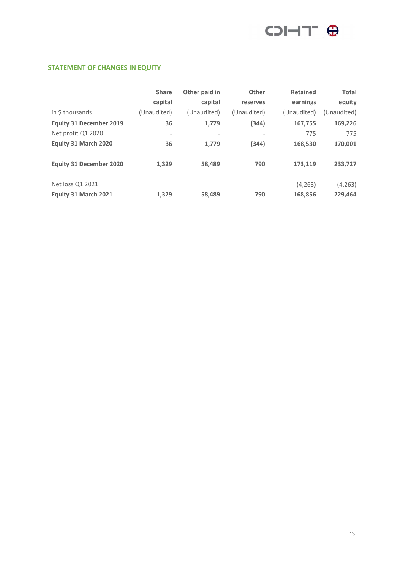

# STATEMENT OF CHANGES IN EQUITY

|                                | <b>Share</b><br>capital  | Other paid in<br>capital | Other<br>reserves        | <b>Retained</b><br>earnings | <b>Total</b><br>equity |
|--------------------------------|--------------------------|--------------------------|--------------------------|-----------------------------|------------------------|
| in \$ thousands                | (Unaudited)              | (Unaudited)              | (Unaudited)              | (Unaudited)                 | (Unaudited)            |
| <b>Equity 31 December 2019</b> | 36                       | 1,779                    | (344)                    | 167,755                     | 169,226                |
| Net profit Q1 2020             | $\overline{\phantom{a}}$ | $\overline{\phantom{a}}$ | $\overline{\phantom{0}}$ | 775                         | 775                    |
| Equity 31 March 2020           | 36                       | 1,779                    | (344)                    | 168,530                     | 170,001                |
| <b>Equity 31 December 2020</b> | 1,329                    | 58,489                   | 790                      | 173,119                     | 233,727                |
| Net loss Q1 2021               | $\overline{\phantom{a}}$ | $\overline{\phantom{a}}$ | $\overline{\phantom{a}}$ | (4, 263)                    | (4, 263)               |
| Equity 31 March 2021           | 1.329                    | 58,489                   | 790                      | 168,856                     | 229,464                |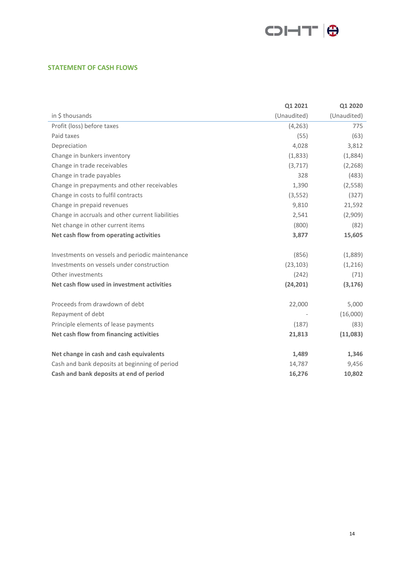

# STATEMENT OF CASH FLOWS

|                                                  | Q1 2021     | Q1 2020     |
|--------------------------------------------------|-------------|-------------|
| in \$ thousands                                  | (Unaudited) | (Unaudited) |
| Profit (loss) before taxes                       | (4, 263)    | 775         |
| Paid taxes                                       | (55)        | (63)        |
| Depreciation                                     | 4,028       | 3,812       |
| Change in bunkers inventory                      | (1,833)     | (1,884)     |
| Change in trade receivables                      | (3, 717)    | (2, 268)    |
| Change in trade payables                         | 328         | (483)       |
| Change in prepayments and other receivables      | 1,390       | (2, 558)    |
| Change in costs to fulfil contracts              | (3, 552)    | (327)       |
| Change in prepaid revenues                       | 9,810       | 21,592      |
| Change in accruals and other current liabilities | 2,541       | (2,909)     |
| Net change in other current items                | (800)       | (82)        |
| Net cash flow from operating activities          | 3,877       | 15,605      |
| Investments on vessels and periodic maintenance  | (856)       | (1,889)     |
| Investments on vessels under construction        | (23, 103)   | (1,216)     |
| Other investments                                | (242)       | (71)        |
| Net cash flow used in investment activities      | (24, 201)   | (3, 176)    |
| Proceeds from drawdown of debt                   | 22,000      | 5,000       |
| Repayment of debt                                |             | (16,000)    |
| Principle elements of lease payments             | (187)       | (83)        |
| Net cash flow from financing activities          | 21,813      | (11,083)    |
| Net change in cash and cash equivalents          | 1,489       | 1,346       |
| Cash and bank deposits at beginning of period    | 14,787      | 9,456       |
| Cash and bank deposits at end of period          | 16,276      | 10,802      |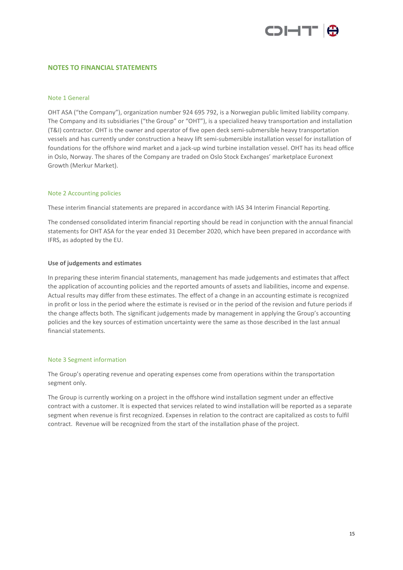

# NOTES TO FINANCIAL STATEMENTS

## Note 1 General

OHT ASA ("the Company"), organization number 924 695 792, is a Norwegian public limited liability company. The Company and its subsidiaries ("the Group" or "OHT"), is a specialized heavy transportation and installation (T&I) contractor. OHT is the owner and operator of five open deck semi-submersible heavy transportation vessels and has currently under construction a heavy lift semi-submersible installation vessel for installation of foundations for the offshore wind market and a jack-up wind turbine installation vessel. OHT has its head office in Oslo, Norway. The shares of the Company are traded on Oslo Stock Exchanges' marketplace Euronext Growth (Merkur Market).

#### Note 2 Accounting policies

These interim financial statements are prepared in accordance with IAS 34 Interim Financial Reporting.

The condensed consolidated interim financial reporting should be read in conjunction with the annual financial statements for OHT ASA for the year ended 31 December 2020, which have been prepared in accordance with IFRS, as adopted by the EU.

## Use of judgements and estimates

In preparing these interim financial statements, management has made judgements and estimates that affect the application of accounting policies and the reported amounts of assets and liabilities, income and expense. Actual results may differ from these estimates. The effect of a change in an accounting estimate is recognized in profit or loss in the period where the estimate is revised or in the period of the revision and future periods if the change affects both. The significant judgements made by management in applying the Group's accounting policies and the key sources of estimation uncertainty were the same as those described in the last annual financial statements.

## Note 3 Segment information

The Group's operating revenue and operating expenses come from operations within the transportation segment only.

The Group is currently working on a project in the offshore wind installation segment under an effective contract with a customer. It is expected that services related to wind installation will be reported as a separate segment when revenue is first recognized. Expenses in relation to the contract are capitalized as costs to fulfil contract. Revenue will be recognized from the start of the installation phase of the project.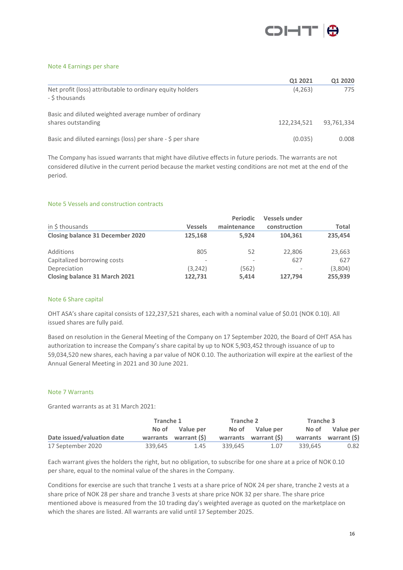

## Note 4 Earnings per share

|                                                                             | Q1 2021     | Q1 2020    |
|-----------------------------------------------------------------------------|-------------|------------|
| Net profit (loss) attributable to ordinary equity holders<br>- \$ thousands | (4, 263)    | 775        |
| Basic and diluted weighted average number of ordinary<br>shares outstanding | 122,234,521 | 93.761.334 |
| Basic and diluted earnings (loss) per share - \$ per share                  | (0.035)     | 0.008      |

The Company has issued warrants that might have dilutive effects in future periods. The warrants are not considered dilutive in the current period because the market vesting conditions are not met at the end of the period.

# Note 5 Vessels and construction contracts

|                                         |                | <b>Periodic</b> | <b>Vessels under</b>     |         |
|-----------------------------------------|----------------|-----------------|--------------------------|---------|
| in \$ thousands                         | <b>Vessels</b> | maintenance     | construction             | Total   |
| <b>Closing balance 31 December 2020</b> | 125.168        | 5.924           | 104.361                  | 235.454 |
| Additions                               | 805            | 52              | 22,806                   | 23,663  |
| Capitalized borrowing costs             | -              |                 | 627                      | 627     |
| Depreciation                            | (3, 242)       | (562)           | $\overline{\phantom{a}}$ | (3,804) |
| Closing balance 31 March 2021           | 122.731        | 5.414           | 127,794                  | 255,939 |

## Note 6 Share capital

OHT ASA's share capital consists of 122,237,521 shares, each with a nominal value of \$0.01 (NOK 0.10). All issued shares are fully paid.

Based on resolution in the General Meeting of the Company on 17 September 2020, the Board of OHT ASA has authorization to increase the Company's share capital by up to NOK 5,903,452 through issuance of up to 59,034,520 new shares, each having a par value of NOK 0.10. The authorization will expire at the earliest of the Annual General Meeting in 2021 and 30 June 2021.

## Note 7 Warrants

Granted warrants as at 31 March 2021:

|                            | Tranche 1 |                       | Tranche 2 |                       | Tranche 3 |                       |
|----------------------------|-----------|-----------------------|-----------|-----------------------|-----------|-----------------------|
|                            |           | No of Value per       |           | No of Value per       |           | No of Value per       |
| Date issued/valuation date |           | warrants warrant (\$) |           | warrants warrant (\$) |           | warrants warrant (\$) |
| 17 September 2020          | 339,645   | 1.45                  | 339.645   | 1.07                  | 339.645   | 0.82                  |

Each warrant gives the holders the right, but no obligation, to subscribe for one share at a price of NOK 0.10 per share, equal to the nominal value of the shares in the Company.

Conditions for exercise are such that tranche 1 vests at a share price of NOK 24 per share, tranche 2 vests at a share price of NOK 28 per share and tranche 3 vests at share price NOK 32 per share. The share price mentioned above is measured from the 10 trading day's weighted average as quoted on the marketplace on which the shares are listed. All warrants are valid until 17 September 2025.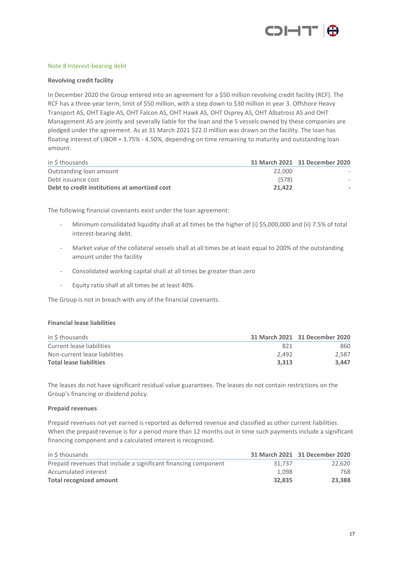

## Note 8 Interest-bearing debt

## Revolving credit facility

In December 2020 the Group entered into an agreement for a \$50 million revolving credit facility (RCF). The RCF has a three-year term, limit of \$50 million, with a step down to \$30 million in year 3. Offshore Heavy Transport AS, OHT Eagle AS, OHT Falcon AS, OHT Hawk AS, OHT Osprey AS, OHT Albatross AS and OHT Management AS are jointly and severally liable for the loan and the 5 vessels owned by these companies are pledged under the agreement. As at 31 March 2021 \$22.0 million was drawn on the facility. The loan has floating interest of LIBOR + 3.75% - 4.50%, depending on time remaining to maturity and outstanding loan amount.

| in \$ thousands                               |        | 31 March 2021 31 December 2020 |
|-----------------------------------------------|--------|--------------------------------|
| Outstanding loan amount                       | 22,000 |                                |
| Debt issuance cost                            | (578)  |                                |
| Debt to credit institutions at amortized cost | 21.422 |                                |

The following financial covenants exist under the loan agreement:

- Minimum consolidated liquidity shall at all times be the higher of (i) \$5,000,000 and (ii) 7.5% of total interest-bearing debt.
- Market value of the collateral vessels shall at all times be at least equal to 200% of the outstanding amount under the facility
- Consolidated working capital shall at all times be greater than zero
- Equity ratio shall at all times be at least 40%

The Group is not in breach with any of the financial covenants.

#### Financial lease liabilities

| in \$ thousands                |       | 31 March 2021 31 December 2020 |
|--------------------------------|-------|--------------------------------|
| Current lease liabilities      | 821   | 860                            |
| Non-current lease liabilities  | 2.492 | 2.587                          |
| <b>Total lease liabilities</b> | 3.313 | 3.447                          |

The leases do not have significant residual value guarantees. The leases do not contain restrictions on the Group's financing or dividend policy.

#### Prepaid revenues

Prepaid revenues not yet earned is reported as deferred revenue and classified as other current liabilities. When the prepaid revenue is for a period more than 12 months out in time such payments include a significant financing component and a calculated interest is recognized.

| in S thousands                                                  |        | 31 March 2021 31 December 2020 |
|-----------------------------------------------------------------|--------|--------------------------------|
| Prepaid revenues that include a significant financing component | 31.737 | 22.620                         |
| Accumulated interest                                            | 1.098  | 768                            |
| <b>Total recognized amount</b>                                  | 32.835 | 23.388                         |